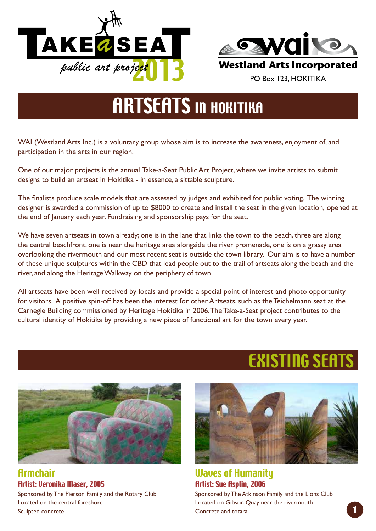



# **ARTSEATS IN HOKITIKA**

WAI (Westland Arts Inc.) is a voluntary group whose aim is to increase the awareness, enjoyment of, and participation in the arts in our region.

One of our major projects is the annual Take-a-Seat Public Art Project, where we invite artists to submit designs to build an artseat in Hokitika - in essence, a sittable sculpture.

The finalists produce scale models that are assessed by judges and exhibited for public voting. The winning designer is awarded a commission of up to \$8000 to create and install the seat in the given location, opened at the end of January each year. Fundraising and sponsorship pays for the seat.

We have seven artseats in town already; one is in the lane that links the town to the beach, three are along the central beachfront, one is near the heritage area alongside the river promenade, one is on a grassy area overlooking the rivermouth and our most recent seat is outside the town library. Our aim is to have a number of these unique sculptures within the CBD that lead people out to the trail of artseats along the beach and the river, and along the Heritage Walkway on the periphery of town.

All artseats have been well received by locals and provide a special point of interest and photo opportunity for visitors. A positive spin-off has been the interest for other Artseats, such as the Teichelmann seat at the Carnegie Building commissioned by Heritage Hokitika in 2006. The Take-a-Seat project contributes to the cultural identity of Hokitika by providing a new piece of functional art for the town every year.

Armchair Artist: Veronika Maser, 2005 Sponsored by The Pierson Family and the Rotary Club Located on the central foreshore Sculpted concrete



Existing Seats

Waves of Humanity Artist: Sue Asplin, 2006 Sponsored by The Atkinson Family and the Lions Club Located on Gibson Quay near the rivermouth Concrete and totara **1**